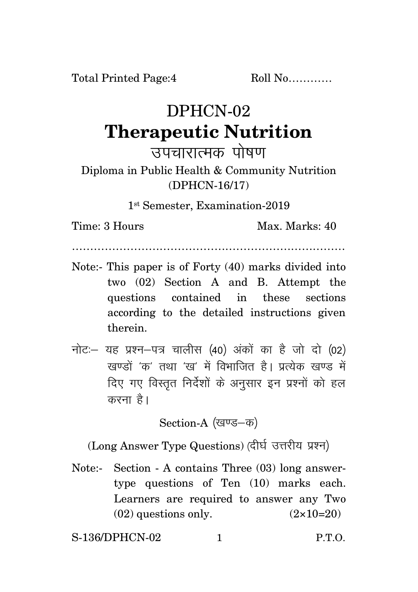Total Printed Page:4 Roll No............

## DPHCN-02 **Therapeutic Nutrition**

उपचारात्मक पोषण

Diploma in Public Health & Community Nutrition (DPHCN-16/17)

1 st Semester, Examination-2019

Time: 3 Hours Max. Marks: 40

…………………………………………………………………

- Note:- This paper is of Forty (40) marks divided into two (02) Section A and B. Attempt the questions contained in these sections according to the detailed instructions given therein.
- नोट: यह प्रश्न-पत्र चालीस (40) अंकों का है जो दो (02) खण्डों *'क'* तथा 'ख' में विभाजित है। प्रत्येक खण्ड में दिए गए विस्तृत निर्देशों के अनुसार इन प्रश्नों को हल करना है।

Section-A (खण्ड-क)

(Long Answer Type Questions) (दीर्घ उत्तरीय प्रश्न)

Note:- Section - A contains Three (03) long answertype questions of Ten (10) marks each. Learners are required to answer any Two  $(02)$  questions only.  $(2 \times 10=20)$ 

S-136/DPHCN-02 1 P.T.O.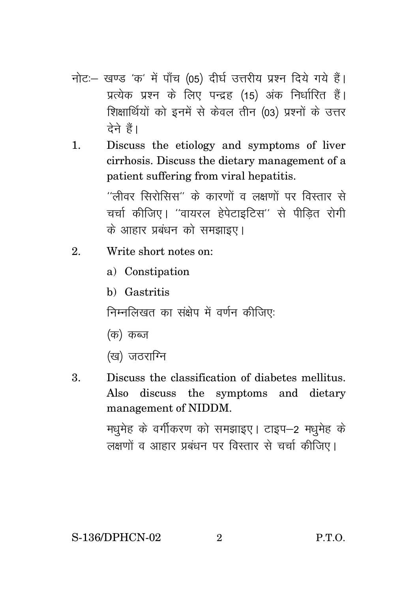- नोट:- खण्ड 'क' में पाँच (05) दीर्घ उत्तरीय प्रश्न दिये गये हैं। प्रत्येक प्रश्न के लिए पन्द्रह (15) अंक निर्धारित हैं। शिक्षार्थियों को इनमें से केवल तीन (03) प्रश्नों के उत्तर टेने हैं।
- Discuss the etiology and symptoms of liver  $\mathbf{1}$ . cirrhosis. Discuss the dietary management of a patient suffering from viral hepatitis.

''लीवर सिरोसिस'' के कारणों व लक्षणों पर विस्तार से चर्चा कीजिए। ''वायरल हेपेटाइटिस'' से पीडित रोगी के आहार प्रबंधन को समझाइए।

- $\mathcal{D}$ Write short notes on:
	- a) Constipation
	- b) Gastritis

निम्नलिखत का संक्षेप में वर्णन कीजिए:

- (क) कब्ज
- (ख) जठराग्नि
- 3. Discuss the classification of diabetes mellitus. Also discuss the symptoms and dietary management of NIDDM.

मधुमेह के वर्गीकरण को समझाइए। टाइप–2 मधुमेह के लक्षणों व आहार प्रबंधन पर विस्तार से चर्चा कीजिए।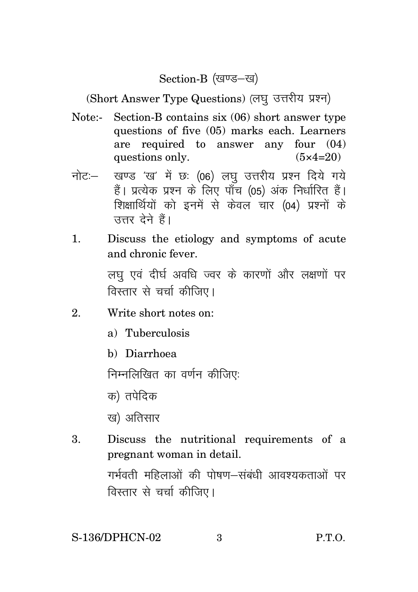## Section-B (खण्ड-ख)

(Short Answer Type Questions) (लघु उत्तरीय प्रश्न)

- Note:- Section-B contains six (06) short answer type questions of five (05) marks each. Learners are required to answer any four (04) questions only.  $(5 \times 4=20)$
- नोट: खण्ड 'ख' में छः (06) लघु उत्तरीय प्रश्न दिये गये हैं। प्रत्येक प्रश्न के लिए पाँच (05) अंक निर्धारित हैं। शिक्षार्थियों को इनमें से केवल चार (04) प्रश्नों के तत्तर देने हैं।
- 1. Discuss the etiology and symptoms of acute and chronic fever. लघ एवं दीर्घ अवधि ज्वर के कारणों और लक्षणों पर

विस्तार से चर्चा कीजिए।

- 2. Write short notes on:
	- a) Tuberculosis
	- b) Diarrhoea

निम्नलिखित का वर्णन कीजिए:

- क) तपेदिक
- ख) अतिसार
- 3. Discuss the nutritional requirements of a pregnant woman in detail.

गर्भवती महिलाओं की पोषण—संबंधी आवश्यकताओं पर विस्तार से चर्चा कीजिए।